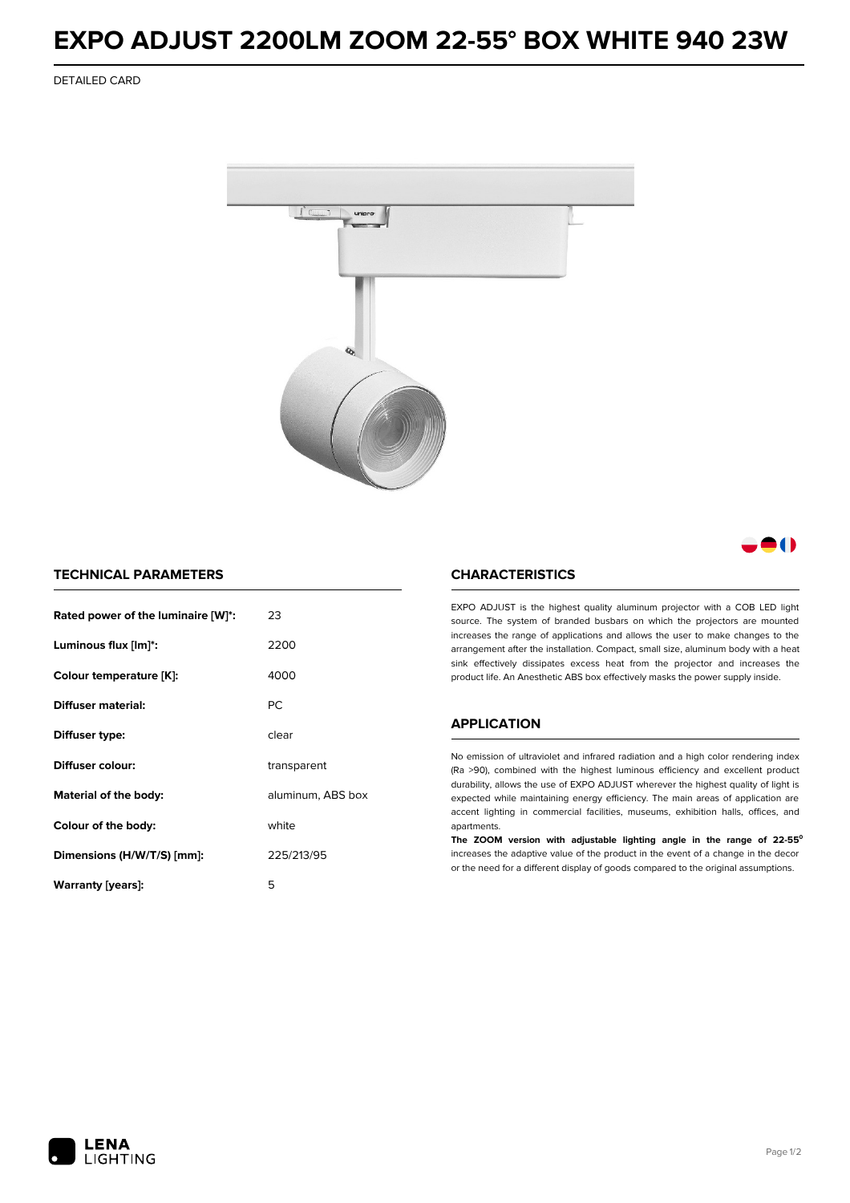## **EXPO ADJUST 2200LM ZOOM 22-55° BOX WHITE 940 23W**

DETAILED CARD



M

## **TECHNICAL PARAMETERS**

| Rated power of the luminaire [W]*: | 23                |  |
|------------------------------------|-------------------|--|
| Luminous flux [lm]*:               | 2200              |  |
| Colour temperature [K]:            | 4000              |  |
| Diffuser material:                 | <b>PC</b>         |  |
| Diffuser type:                     | clear             |  |
| Diffuser colour:                   | transparent       |  |
| Material of the body:              | aluminum, ABS box |  |
| Colour of the body:                | white             |  |
| Dimensions (H/W/T/S) [mm]:         | 225/213/95        |  |
| Warranty (years):                  | 5                 |  |

### **CHARACTERISTICS**

EXPO ADJUST is the highest quality aluminum projector with a COB LED light source. The system of branded busbars on which the projectors are mounted increases the range of applications and allows the user to make changes to the arrangement after the installation. Compact, small size, aluminum body with a heat sink effectively dissipates excess heat from the projector and increases the product life. An Anesthetic ABS box effectively masks the power supply inside.

#### **APPLICATION**

No emission of ultraviolet and infrared radiation and a high color rendering index (Ra >90), combined with the highest luminous efficiency and excellent product durability, allows the use of EXPO ADJUST wherever the highest quality of light is expected while maintaining energy efficiency. The main areas of application are accent lighting in commercial facilities, museums, exhibition halls, offices, and apartments.

**The ZOOM version with adjustable lighting angle in the range of 22-55⁰** increases the adaptive value of the product in the event of a change in the decor or the need for a different display of goods compared to the original assumptions.